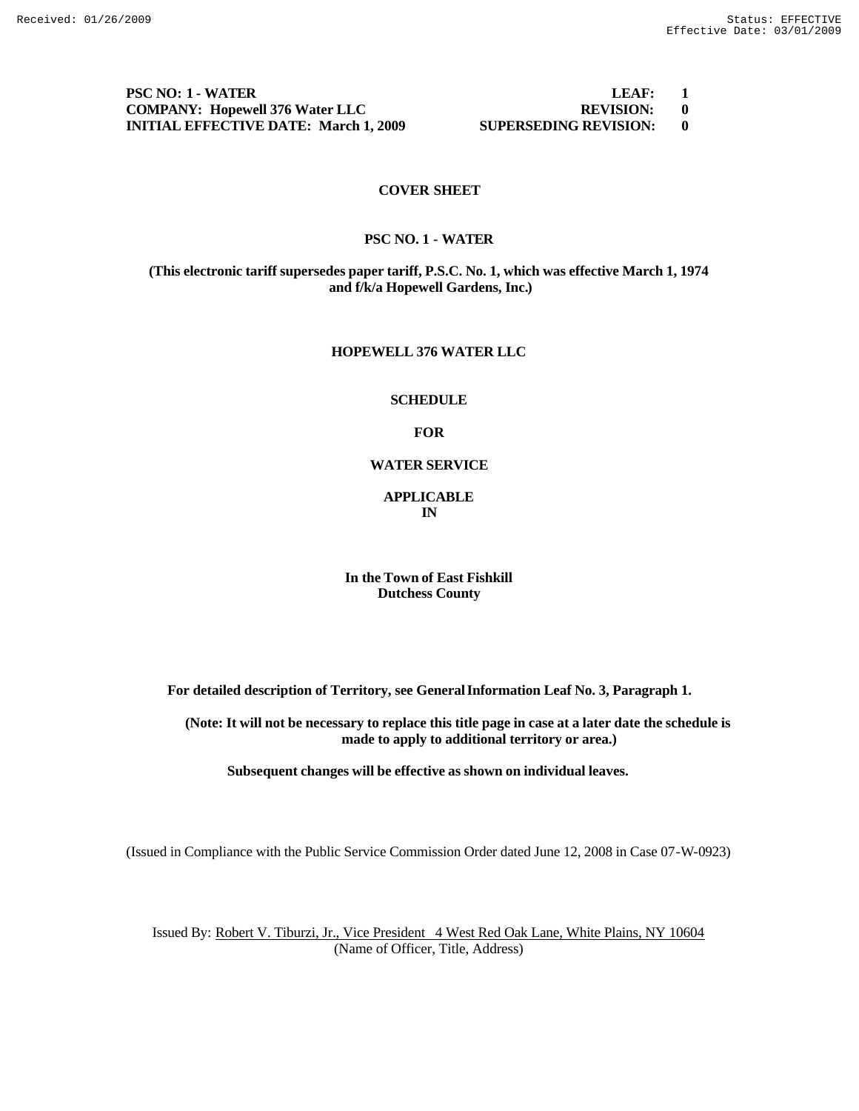**PSC NO: 1 - WATER LEAF:** 1 **COMPANY: Hopewell 376 Water LLC REVISION: 0 INITIAL EFFECTIVE DATE: March 1, 2009 SUPERSEDING REVISION: 0**

# **COVER SHEET**

# **PSC NO. 1 - WATER**

**(This electronic tariff supersedes paper tariff, P.S.C. No. 1, which was effective March 1, 1974 and f/k/a Hopewell Gardens, Inc.)**

#### **HOPEWELL 376 WATER LLC**

#### **SCHEDULE**

## **FOR**

# **WATER SERVICE**

# **APPLICABLE IN**

## **In the Town of East Fishkill Dutchess County**

**For detailed description of Territory, see General Information Leaf No. 3, Paragraph 1.**

**(Note: It will not be necessary to replace this title page in case at a later date the schedule is made to apply to additional territory or area.)**

**Subsequent changes will be effective as shown on individual leaves.**

(Issued in Compliance with the Public Service Commission Order dated June 12, 2008 in Case 07-W-0923)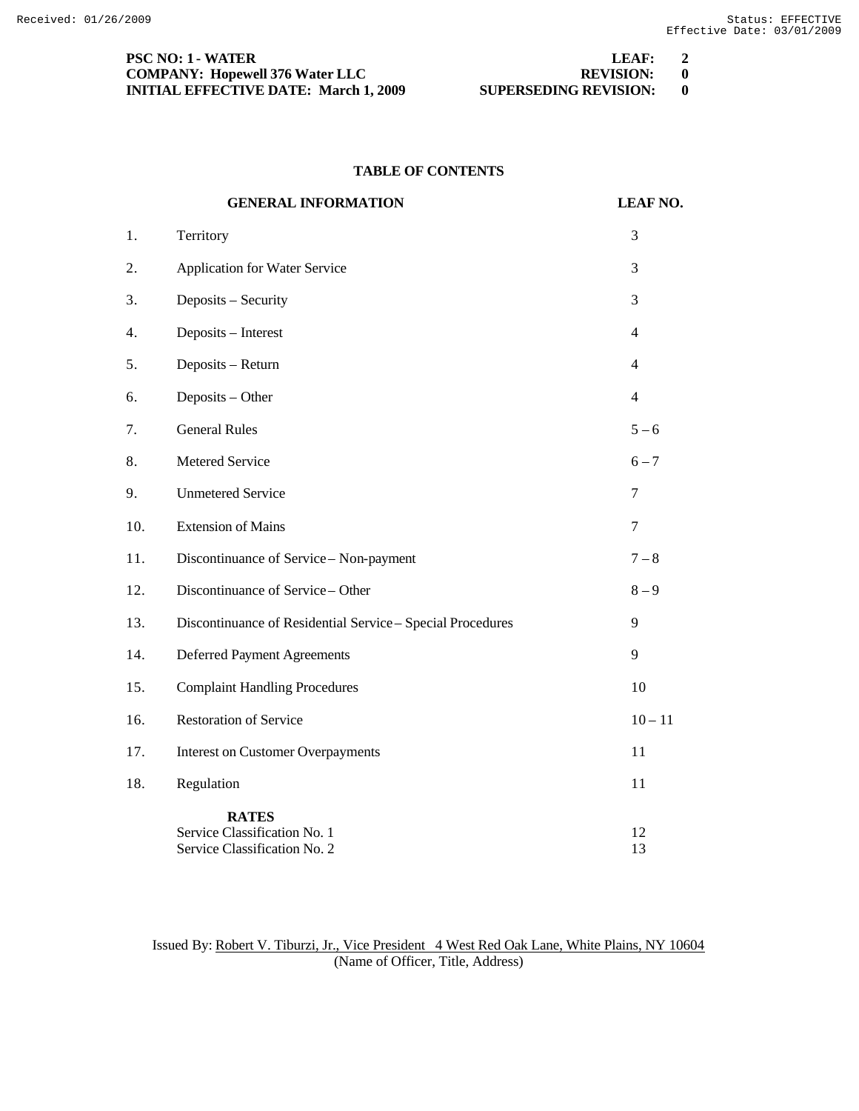| PSC NO: 1 - WATER                            | LEAF:                        | $\overline{\mathbf{2}}$ |
|----------------------------------------------|------------------------------|-------------------------|
| <b>COMPANY: Hopewell 376 Water LLC</b>       | REVISION: 0                  |                         |
| <b>INITIAL EFFECTIVE DATE: March 1, 2009</b> | <b>SUPERSEDING REVISION:</b> |                         |

# **TABLE OF CONTENTS**

|     | <b>GENERAL INFORMATION</b>                                                   | <b>LEAF NO.</b>          |
|-----|------------------------------------------------------------------------------|--------------------------|
| 1.  | Territory                                                                    | 3                        |
| 2.  | Application for Water Service                                                | 3                        |
| 3.  | Deposits - Security                                                          | 3                        |
| 4.  | Deposits - Interest                                                          | 4                        |
| 5.  | Deposits - Return                                                            | $\overline{\mathcal{L}}$ |
| 6.  | Deposits - Other                                                             | $\overline{4}$           |
| 7.  | <b>General Rules</b>                                                         | $5 - 6$                  |
| 8.  | Metered Service                                                              | $6 - 7$                  |
| 9.  | <b>Unmetered Service</b>                                                     | 7                        |
| 10. | <b>Extension of Mains</b>                                                    | 7                        |
| 11. | Discontinuance of Service - Non-payment                                      | $7 - 8$                  |
| 12. | Discontinuance of Service - Other                                            | $8 - 9$                  |
| 13. | Discontinuance of Residential Service - Special Procedures                   | 9                        |
| 14. | <b>Deferred Payment Agreements</b>                                           | 9                        |
| 15. | <b>Complaint Handling Procedures</b>                                         | 10                       |
| 16. | <b>Restoration of Service</b>                                                | $10 - 11$                |
| 17. | <b>Interest on Customer Overpayments</b>                                     | 11                       |
| 18. | Regulation                                                                   | 11                       |
|     | <b>RATES</b><br>Service Classification No. 1<br>Service Classification No. 2 | 12<br>13                 |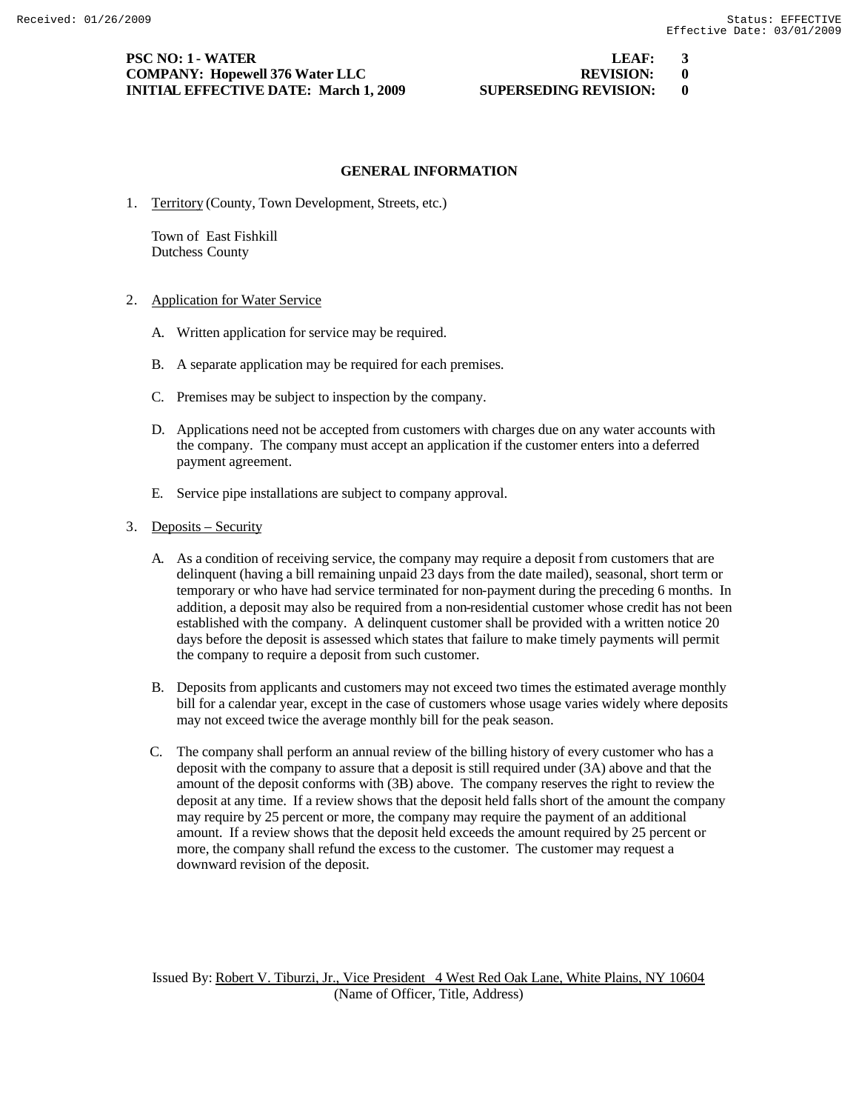# **PSC NO: 1 - WATER LEAF: 3 COMPANY:** Hopewell 376 Water LLC **REVISION: 0 INITIAL EFFECTIVE DATE: March 1, 2009 SUPERSEDING REVISION: 0**

## **GENERAL INFORMATION**

1. Territory (County, Town Development, Streets, etc.)

Town of East Fishkill Dutchess County

- 2. Application for Water Service
	- A. Written application for service may be required.
	- B. A separate application may be required for each premises.
	- C. Premises may be subject to inspection by the company.
	- D. Applications need not be accepted from customers with charges due on any water accounts with the company. The company must accept an application if the customer enters into a deferred payment agreement.
	- E. Service pipe installations are subject to company approval.
- 3. Deposits Security
	- A. As a condition of receiving service, the company may require a deposit from customers that are delinquent (having a bill remaining unpaid 23 days from the date mailed), seasonal, short term or temporary or who have had service terminated for non-payment during the preceding 6 months. In addition, a deposit may also be required from a non-residential customer whose credit has not been established with the company. A delinquent customer shall be provided with a written notice 20 days before the deposit is assessed which states that failure to make timely payments will permit the company to require a deposit from such customer.
	- B. Deposits from applicants and customers may not exceed two times the estimated average monthly bill for a calendar year, except in the case of customers whose usage varies widely where deposits may not exceed twice the average monthly bill for the peak season.
	- C. The company shall perform an annual review of the billing history of every customer who has a deposit with the company to assure that a deposit is still required under (3A) above and that the amount of the deposit conforms with (3B) above. The company reserves the right to review the deposit at any time. If a review shows that the deposit held falls short of the amount the company may require by 25 percent or more, the company may require the payment of an additional amount. If a review shows that the deposit held exceeds the amount required by 25 percent or more, the company shall refund the excess to the customer. The customer may request a downward revision of the deposit.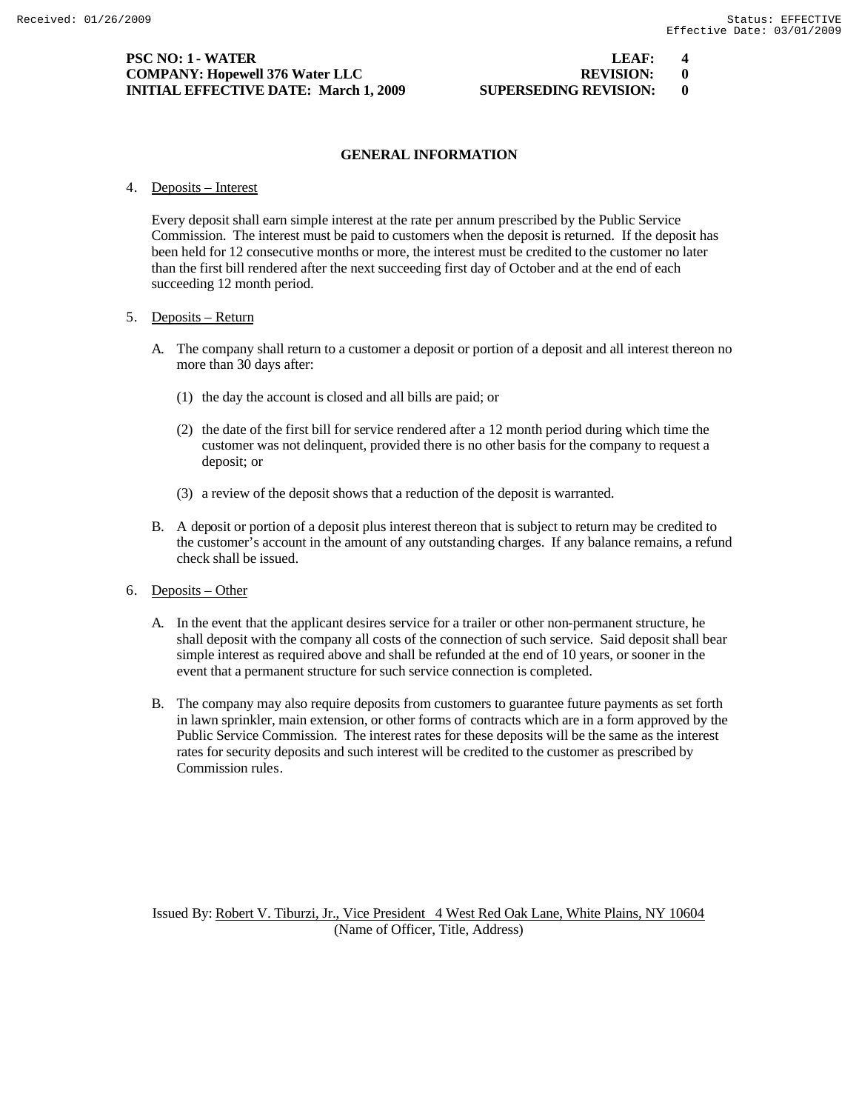# **PSC NO: 1 - WATER LEAF: 4 COMPANY: Hopewell 376 Water LLC REVISION: 0 INITIAL EFFECTIVE DATE: March 1, 2009 SUPERSEDING REVISION: 0**

# **GENERAL INFORMATION**

4. Deposits – Interest

Every deposit shall earn simple interest at the rate per annum prescribed by the Public Service Commission. The interest must be paid to customers when the deposit is returned. If the deposit has been held for 12 consecutive months or more, the interest must be credited to the customer no later than the first bill rendered after the next succeeding first day of October and at the end of each succeeding 12 month period.

## 5. Deposits – Return

- A. The company shall return to a customer a deposit or portion of a deposit and all interest thereon no more than 30 days after:
	- (1) the day the account is closed and all bills are paid; or
	- (2) the date of the first bill for service rendered after a 12 month period during which time the customer was not delinquent, provided there is no other basis for the company to request a deposit; or
	- (3) a review of the deposit shows that a reduction of the deposit is warranted.
- B. A deposit or portion of a deposit plus interest thereon that is subject to return may be credited to the customer's account in the amount of any outstanding charges. If any balance remains, a refund check shall be issued.
- 6. Deposits Other
	- A. In the event that the applicant desires service for a trailer or other non-permanent structure, he shall deposit with the company all costs of the connection of such service. Said deposit shall bear simple interest as required above and shall be refunded at the end of 10 years, or sooner in the event that a permanent structure for such service connection is completed.
	- B. The company may also require deposits from customers to guarantee future payments as set forth in lawn sprinkler, main extension, or other forms of contracts which are in a form approved by the Public Service Commission. The interest rates for these deposits will be the same as the interest rates for security deposits and such interest will be credited to the customer as prescribed by Commission rules.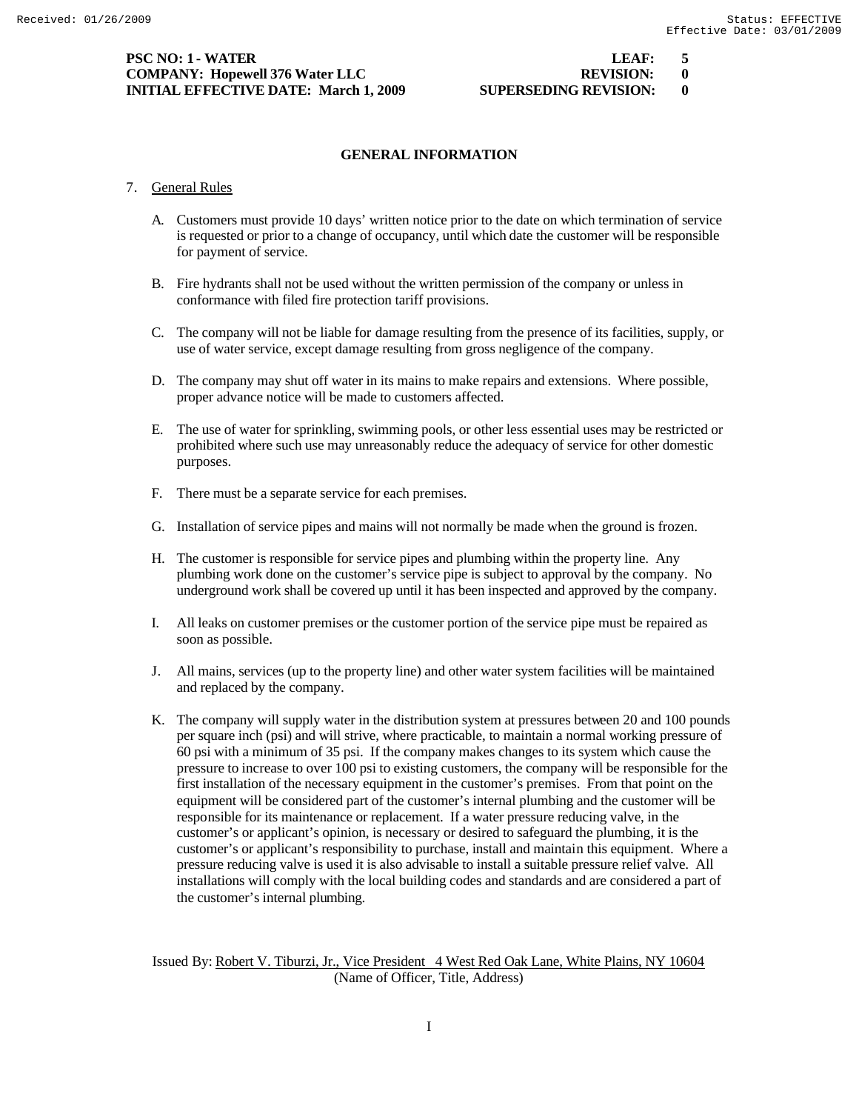# **PSC NO: 1 - WATER LEAF: 5 COMPANY: Hopewell 376 Water LLC REVISION: 0 INITIAL EFFECTIVE DATE: March 1, 2009 SUPERSEDING REVISION: 0**

# **GENERAL INFORMATION**

- 7. General Rules
	- A. Customers must provide 10 days' written notice prior to the date on which termination of service is requested or prior to a change of occupancy, until which date the customer will be responsible for payment of service.
	- B. Fire hydrants shall not be used without the written permission of the company or unless in conformance with filed fire protection tariff provisions.
	- C. The company will not be liable for damage resulting from the presence of its facilities, supply, or use of water service, except damage resulting from gross negligence of the company.
	- D. The company may shut off water in its mains to make repairs and extensions. Where possible, proper advance notice will be made to customers affected.
	- E. The use of water for sprinkling, swimming pools, or other less essential uses may be restricted or prohibited where such use may unreasonably reduce the adequacy of service for other domestic purposes.
	- F. There must be a separate service for each premises.
	- G. Installation of service pipes and mains will not normally be made when the ground is frozen.
	- H. The customer is responsible for service pipes and plumbing within the property line. Any plumbing work done on the customer's service pipe is subject to approval by the company. No underground work shall be covered up until it has been inspected and approved by the company.
	- I. All leaks on customer premises or the customer portion of the service pipe must be repaired as soon as possible.
	- J. All mains, services (up to the property line) and other water system facilities will be maintained and replaced by the company.
	- K. The company will supply water in the distribution system at pressures between 20 and 100 pounds per square inch (psi) and will strive, where practicable, to maintain a normal working pressure of 60 psi with a minimum of 35 psi. If the company makes changes to its system which cause the pressure to increase to over 100 psi to existing customers, the company will be responsible for the first installation of the necessary equipment in the customer's premises. From that point on the equipment will be considered part of the customer's internal plumbing and the customer will be responsible for its maintenance or replacement. If a water pressure reducing valve, in the customer's or applicant's opinion, is necessary or desired to safeguard the plumbing, it is the customer's or applicant's responsibility to purchase, install and maintain this equipment. Where a pressure reducing valve is used it is also advisable to install a suitable pressure relief valve. All installations will comply with the local building codes and standards and are considered a part of the customer's internal plumbing.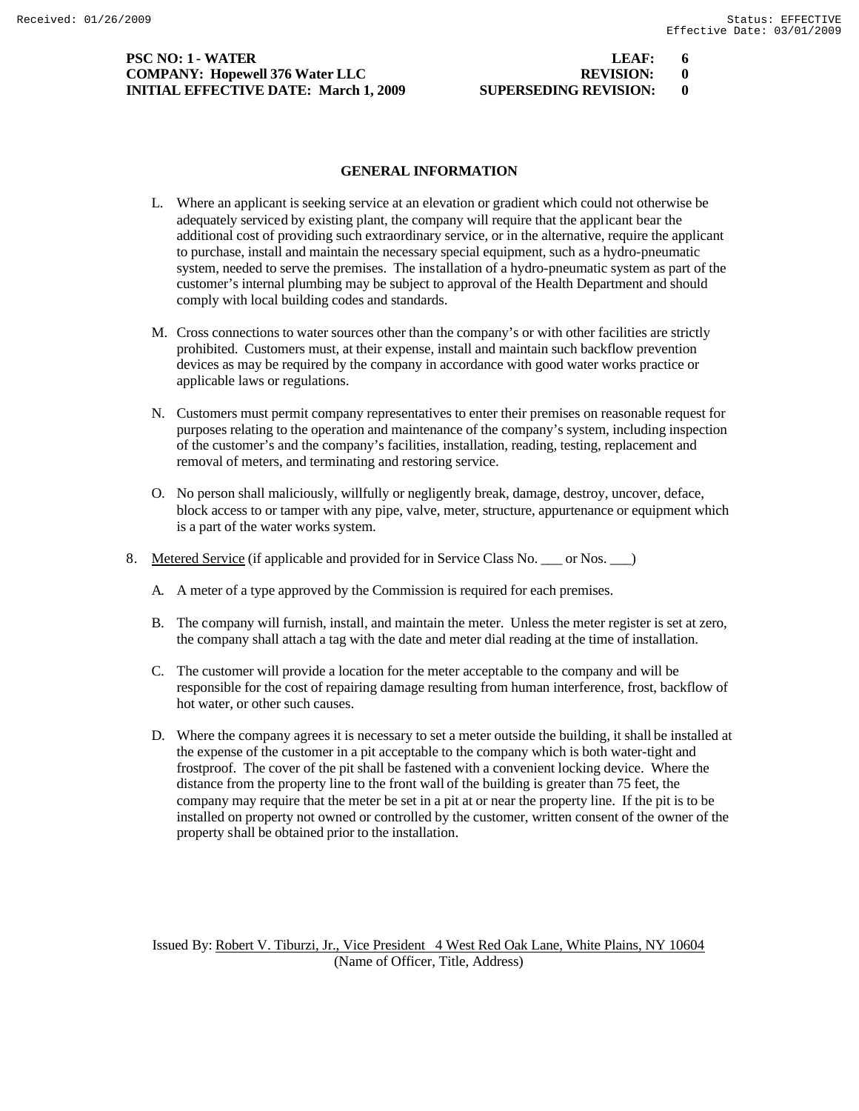# **PSC NO: 1 - WATER LEAF: 6 COMPANY: Hopewell 376 Water LLC REVISION: 0 INITIAL EFFECTIVE DATE: March 1, 2009 SUPERSEDING REVISION: 0**

# **GENERAL INFORMATION**

- L. Where an applicant is seeking service at an elevation or gradient which could not otherwise be adequately serviced by existing plant, the company will require that the applicant bear the additional cost of providing such extraordinary service, or in the alternative, require the applicant to purchase, install and maintain the necessary special equipment, such as a hydro-pneumatic system, needed to serve the premises. The installation of a hydro-pneumatic system as part of the customer's internal plumbing may be subject to approval of the Health Department and should comply with local building codes and standards.
- M. Cross connections to water sources other than the company's or with other facilities are strictly prohibited. Customers must, at their expense, install and maintain such backflow prevention devices as may be required by the company in accordance with good water works practice or applicable laws or regulations.
- N. Customers must permit company representatives to enter their premises on reasonable request for purposes relating to the operation and maintenance of the company's system, including inspection of the customer's and the company's facilities, installation, reading, testing, replacement and removal of meters, and terminating and restoring service.
- O. No person shall maliciously, willfully or negligently break, damage, destroy, uncover, deface, block access to or tamper with any pipe, valve, meter, structure, appurtenance or equipment which is a part of the water works system.
- 8. Metered Service (if applicable and provided for in Service Class No. \_\_\_ or Nos. \_\_\_)
	- A. A meter of a type approved by the Commission is required for each premises.
	- B. The company will furnish, install, and maintain the meter. Unless the meter register is set at zero, the company shall attach a tag with the date and meter dial reading at the time of installation.
	- C. The customer will provide a location for the meter acceptable to the company and will be responsible for the cost of repairing damage resulting from human interference, frost, backflow of hot water, or other such causes.
	- D. Where the company agrees it is necessary to set a meter outside the building, it shall be installed at the expense of the customer in a pit acceptable to the company which is both water-tight and frostproof. The cover of the pit shall be fastened with a convenient locking device. Where the distance from the property line to the front wall of the building is greater than 75 feet, the company may require that the meter be set in a pit at or near the property line. If the pit is to be installed on property not owned or controlled by the customer, written consent of the owner of the property shall be obtained prior to the installation.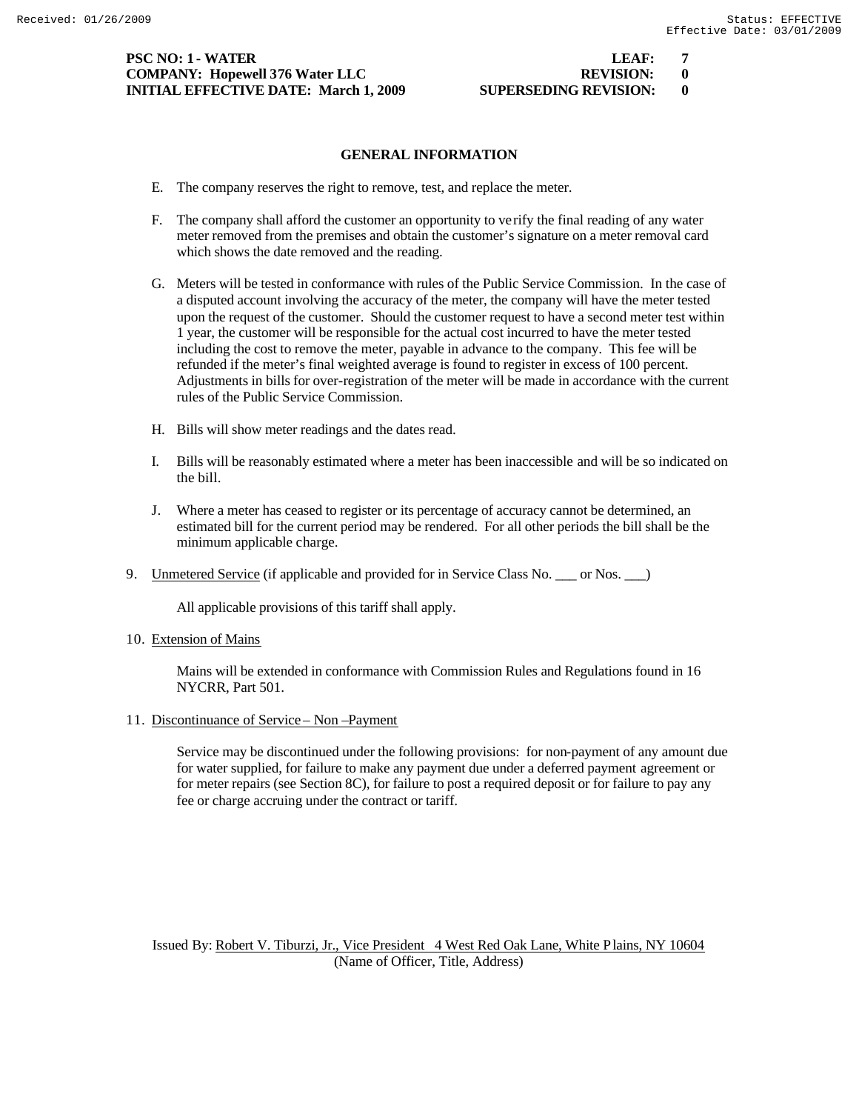# **PSC NO: 1 - WATER LEAF: 7 COMPANY:** Hopewell 376 Water LLC **REVISION:** 0 **INITIAL EFFECTIVE DATE: March 1, 2009 SUPERSEDING REVISION: 0**

# **GENERAL INFORMATION**

- E. The company reserves the right to remove, test, and replace the meter.
- F. The company shall afford the customer an opportunity to verify the final reading of any water meter removed from the premises and obtain the customer's signature on a meter removal card which shows the date removed and the reading.
- G. Meters will be tested in conformance with rules of the Public Service Commission. In the case of a disputed account involving the accuracy of the meter, the company will have the meter tested upon the request of the customer. Should the customer request to have a second meter test within 1 year, the customer will be responsible for the actual cost incurred to have the meter tested including the cost to remove the meter, payable in advance to the company. This fee will be refunded if the meter's final weighted average is found to register in excess of 100 percent. Adjustments in bills for over-registration of the meter will be made in accordance with the current rules of the Public Service Commission.
- H. Bills will show meter readings and the dates read.
- I. Bills will be reasonably estimated where a meter has been inaccessible and will be so indicated on the bill.
- J. Where a meter has ceased to register or its percentage of accuracy cannot be determined, an estimated bill for the current period may be rendered. For all other periods the bill shall be the minimum applicable charge.
- 9. Unmetered Service (if applicable and provided for in Service Class No. \_\_\_ or Nos. \_\_\_)

All applicable provisions of this tariff shall apply.

10. Extension of Mains

Mains will be extended in conformance with Commission Rules and Regulations found in 16 NYCRR, Part 501.

11. Discontinuance of Service – Non –Payment

Service may be discontinued under the following provisions: for non-payment of any amount due for water supplied, for failure to make any payment due under a deferred payment agreement or for meter repairs (see Section 8C), for failure to post a required deposit or for failure to pay any fee or charge accruing under the contract or tariff.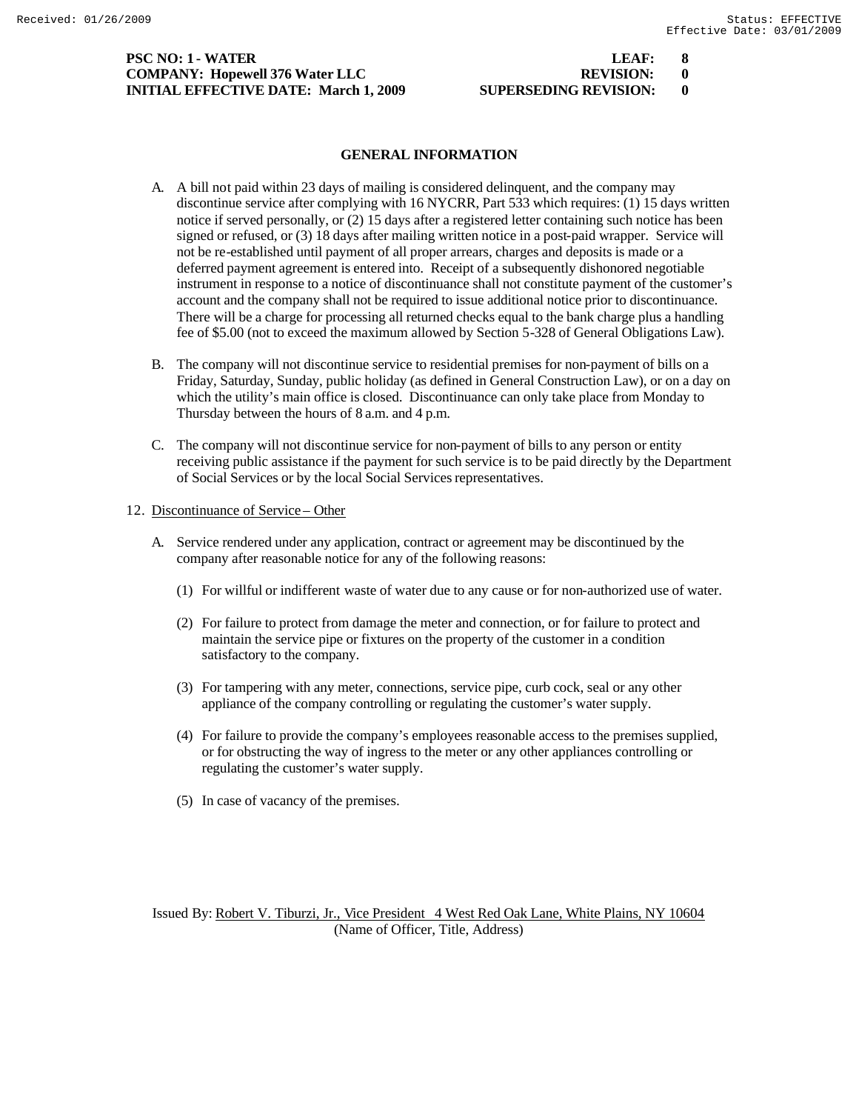# **PSC NO: 1 - WATER LEAF: 8 COMPANY: Hopewell 376 Water LLC INITIAL EFFECTIVE DATE: March 1, 2009 SU**

| LEAF:                |  |
|----------------------|--|
| <b>REVISION:</b>     |  |
| UPERSEDING REVISION: |  |

# **GENERAL INFORMATION**

- A. A bill not paid within 23 days of mailing is considered delinquent, and the company may discontinue service after complying with 16 NYCRR, Part 533 which requires: (1) 15 days written notice if served personally, or (2) 15 days after a registered letter containing such notice has been signed or refused, or (3) 18 days after mailing written notice in a post-paid wrapper. Service will not be re-established until payment of all proper arrears, charges and deposits is made or a deferred payment agreement is entered into. Receipt of a subsequently dishonored negotiable instrument in response to a notice of discontinuance shall not constitute payment of the customer's account and the company shall not be required to issue additional notice prior to discontinuance. There will be a charge for processing all returned checks equal to the bank charge plus a handling fee of \$5.00 (not to exceed the maximum allowed by Section 5-328 of General Obligations Law).
- B. The company will not discontinue service to residential premises for non-payment of bills on a Friday, Saturday, Sunday, public holiday (as defined in General Construction Law), or on a day on which the utility's main office is closed. Discontinuance can only take place from Monday to Thursday between the hours of 8 a.m. and 4 p.m.
- C. The company will not discontinue service for non-payment of bills to any person or entity receiving public assistance if the payment for such service is to be paid directly by the Department of Social Services or by the local Social Services representatives.

#### 12. Discontinuance of Service – Other

- A. Service rendered under any application, contract or agreement may be discontinued by the company after reasonable notice for any of the following reasons:
	- (1) For willful or indifferent waste of water due to any cause or for non-authorized use of water.
	- (2) For failure to protect from damage the meter and connection, or for failure to protect and maintain the service pipe or fixtures on the property of the customer in a condition satisfactory to the company.
	- (3) For tampering with any meter, connections, service pipe, curb cock, seal or any other appliance of the company controlling or regulating the customer's water supply.
	- (4) For failure to provide the company's employees reasonable access to the premises supplied, or for obstructing the way of ingress to the meter or any other appliances controlling or regulating the customer's water supply.
	- (5) In case of vacancy of the premises.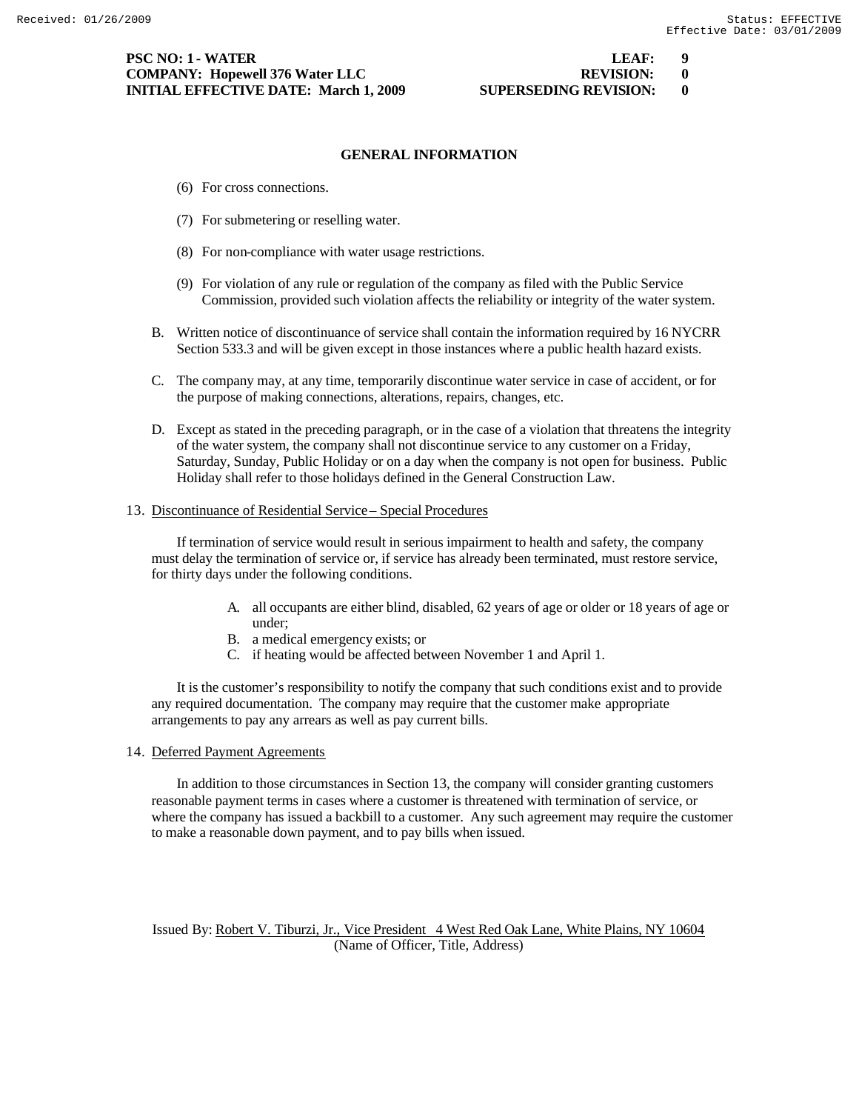# **PSC NO: 1 - WATER LEAF: 9 COMPANY: Hopewell 376 Water LLC REVISION: 0 INITIAL EFFECTIVE DATE: March 1, 2009 SUPERSEDING REVISION: 0**

## **GENERAL INFORMATION**

- (6) For cross connections.
- (7) For submetering or reselling water.
- (8) For non-compliance with water usage restrictions.
- (9) For violation of any rule or regulation of the company as filed with the Public Service Commission, provided such violation affects the reliability or integrity of the water system.
- B. Written notice of discontinuance of service shall contain the information required by 16 NYCRR Section 533.3 and will be given except in those instances where a public health hazard exists.
- C. The company may, at any time, temporarily discontinue water service in case of accident, or for the purpose of making connections, alterations, repairs, changes, etc.
- D. Except as stated in the preceding paragraph, or in the case of a violation that threatens the integrity of the water system, the company shall not discontinue service to any customer on a Friday, Saturday, Sunday, Public Holiday or on a day when the company is not open for business. Public Holiday shall refer to those holidays defined in the General Construction Law.

#### 13. Discontinuance of Residential Service – Special Procedures

If termination of service would result in serious impairment to health and safety, the company must delay the termination of service or, if service has already been terminated, must restore service, for thirty days under the following conditions.

- A. all occupants are either blind, disabled, 62 years of age or older or 18 years of age or under;
- B. a medical emergency exists; or
- C. if heating would be affected between November 1 and April 1.

It is the customer's responsibility to notify the company that such conditions exist and to provide any required documentation. The company may require that the customer make appropriate arrangements to pay any arrears as well as pay current bills.

#### 14. Deferred Payment Agreements

In addition to those circumstances in Section 13, the company will consider granting customers reasonable payment terms in cases where a customer is threatened with termination of service, or where the company has issued a backbill to a customer. Any such agreement may require the customer to make a reasonable down payment, and to pay bills when issued.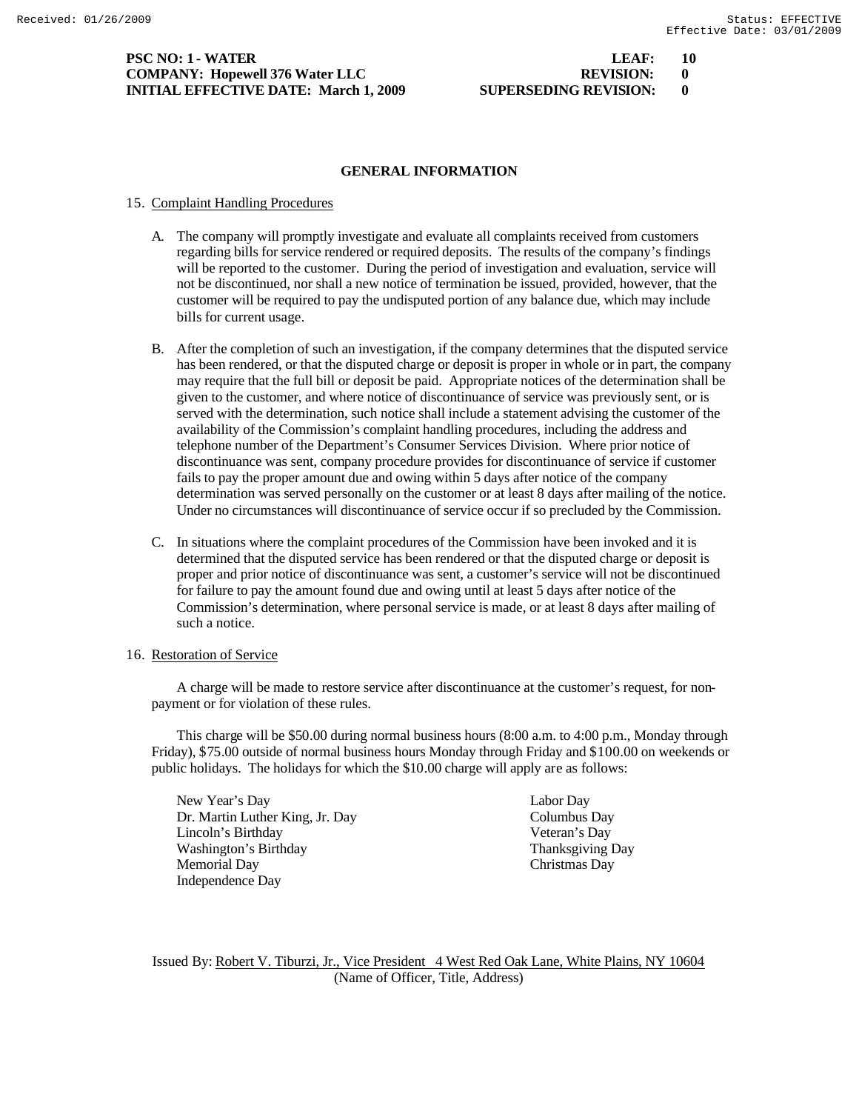## **PSC NO: 1 - WATER LEAF: 10 COMPANY: Hopewell 376 Water LLC REVISION: 0 INITIAL EFFECTIVE DATE: March 1, 2009 SUPERSEDING REVISION: 0**

# **GENERAL INFORMATION**

# 15. Complaint Handling Procedures

- A. The company will promptly investigate and evaluate all complaints received from customers regarding bills for service rendered or required deposits. The results of the company's findings will be reported to the customer. During the period of investigation and evaluation, service will not be discontinued, nor shall a new notice of termination be issued, provided, however, that the customer will be required to pay the undisputed portion of any balance due, which may include bills for current usage.
- B. After the completion of such an investigation, if the company determines that the disputed service has been rendered, or that the disputed charge or deposit is proper in whole or in part, the company may require that the full bill or deposit be paid. Appropriate notices of the determination shall be given to the customer, and where notice of discontinuance of service was previously sent, or is served with the determination, such notice shall include a statement advising the customer of the availability of the Commission's complaint handling procedures, including the address and telephone number of the Department's Consumer Services Division. Where prior notice of discontinuance was sent, company procedure provides for discontinuance of service if customer fails to pay the proper amount due and owing within 5 days after notice of the company determination was served personally on the customer or at least 8 days after mailing of the notice. Under no circumstances will discontinuance of service occur if so precluded by the Commission.
- C. In situations where the complaint procedures of the Commission have been invoked and it is determined that the disputed service has been rendered or that the disputed charge or deposit is proper and prior notice of discontinuance was sent, a customer's service will not be discontinued for failure to pay the amount found due and owing until at least 5 days after notice of the Commission's determination, where personal service is made, or at least 8 days after mailing of such a notice.

# 16. Restoration of Service

A charge will be made to restore service after discontinuance at the customer's request, for nonpayment or for violation of these rules.

This charge will be \$50.00 during normal business hours (8:00 a.m. to 4:00 p.m., Monday through Friday), \$75.00 outside of normal business hours Monday through Friday and \$100.00 on weekends or public holidays. The holidays for which the \$10.00 charge will apply are as follows:

New Year's Day Labor Day Dr. Martin Luther King, Jr. Day Columbus Day Lincoln's Birthday Veteran's Day Washington's Birthday Thanksgiving Day Memorial Day Christmas Day Independence Day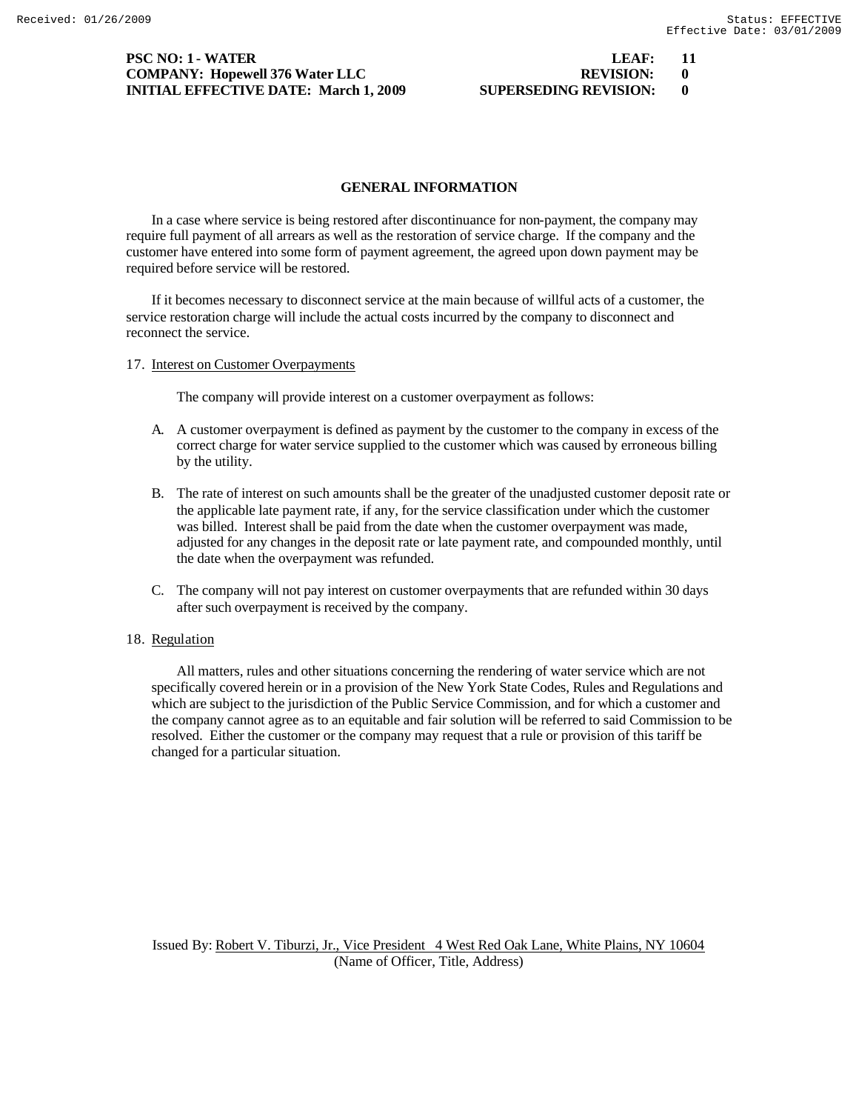# **PSC NO: 1 - WATER** LEAF: 11 **COMPANY: Hopewell 376 Water LLC INITIAL EFFECTIVE DATE: March 1, 2009 SU**

| LEAF:                | L |
|----------------------|---|
| <b>REVISION:</b>     |   |
| UPERSEDING REVISION: |   |

## **GENERAL INFORMATION**

In a case where service is being restored after discontinuance for non-payment, the company may require full payment of all arrears as well as the restoration of service charge. If the company and the customer have entered into some form of payment agreement, the agreed upon down payment may be required before service will be restored.

If it becomes necessary to disconnect service at the main because of willful acts of a customer, the service restoration charge will include the actual costs incurred by the company to disconnect and reconnect the service.

## 17. Interest on Customer Overpayments

The company will provide interest on a customer overpayment as follows:

- A. A customer overpayment is defined as payment by the customer to the company in excess of the correct charge for water service supplied to the customer which was caused by erroneous billing by the utility.
- B. The rate of interest on such amounts shall be the greater of the unadjusted customer deposit rate or the applicable late payment rate, if any, for the service classification under which the customer was billed. Interest shall be paid from the date when the customer overpayment was made, adjusted for any changes in the deposit rate or late payment rate, and compounded monthly, until the date when the overpayment was refunded.
- C. The company will not pay interest on customer overpayments that are refunded within 30 days after such overpayment is received by the company.

## 18. Regulation

All matters, rules and other situations concerning the rendering of water service which are not specifically covered herein or in a provision of the New York State Codes, Rules and Regulations and which are subject to the jurisdiction of the Public Service Commission, and for which a customer and the company cannot agree as to an equitable and fair solution will be referred to said Commission to be resolved. Either the customer or the company may request that a rule or provision of this tariff be changed for a particular situation.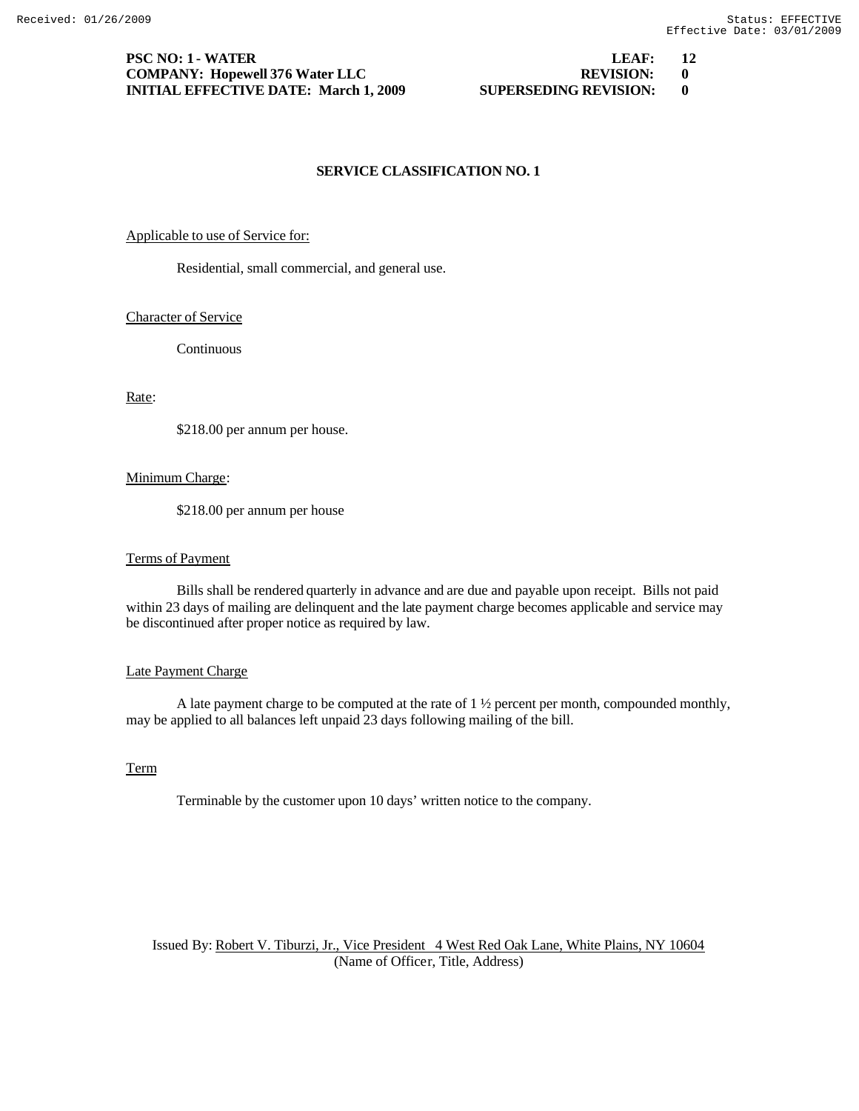# **PSC NO: 1 - WATER LEAF: 12 COMPANY: Hopewell 376 Water LLC REVISION: 0 INITIAL EFFECTIVE DATE: March 1, 2009 SUPERSEDING REVISION: 0**

# **SERVICE CLASSIFICATION NO. 1**

#### Applicable to use of Service for:

Residential, small commercial, and general use.

# Character of Service

Continuous

# Rate:

\$218.00 per annum per house.

## Minimum Charge:

\$218.00 per annum per house

#### Terms of Payment

Bills shall be rendered quarterly in advance and are due and payable upon receipt. Bills not paid within 23 days of mailing are delinquent and the late payment charge becomes applicable and service may be discontinued after proper notice as required by law.

# Late Payment Charge

A late payment charge to be computed at the rate of 1 ½ percent per month, compounded monthly, may be applied to all balances left unpaid 23 days following mailing of the bill.

# Term

Terminable by the customer upon 10 days' written notice to the company.